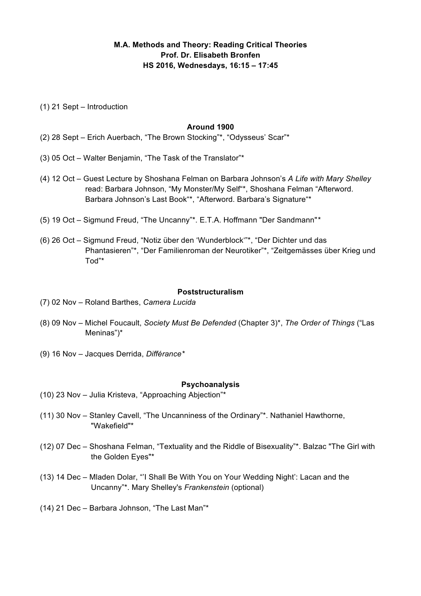# **M.A. Methods and Theory: Reading Critical Theories Prof. Dr. Elisabeth Bronfen HS 2016, Wednesdays, 16:15 – 17:45**

(1) 21 Sept – Introduction

#### **Around 1900**

- (2) 28 Sept Erich Auerbach, "The Brown Stocking"\*, "Odysseus' Scar"\*
- (3) 05 Oct Walter Benjamin, "The Task of the Translator"\*
- (4) 12 Oct Guest Lecture by Shoshana Felman on Barbara Johnson's *A Life with Mary Shelley* read: Barbara Johnson, "My Monster/My Self"\*, Shoshana Felman "Afterword. Barbara Johnson's Last Book"\*, "Afterword. Barbara's Signature"\*
- (5) 19 Oct Sigmund Freud, "The Uncanny"\*. E.T.A. Hoffmann "Der Sandmann"*\**
- (6) 26 Oct Sigmund Freud, "Notiz über den 'Wunderblock'"\*, "Der Dichter und das Phantasieren"\*, "Der Familienroman der Neurotiker"\*, "Zeitgemässes über Krieg und Tod"\*

#### **Poststructuralism**

- (7) 02 Nov Roland Barthes, *Camera Lucida*
- (8) 09 Nov Michel Foucault, *Society Must Be Defended* (Chapter 3)\*, *The Order of Things* ("Las Meninas")\*
- (9) 16 Nov Jacques Derrida, *Différance\**

#### **Psychoanalysis**

- (10) 23 Nov Julia Kristeva, "Approaching Abjection"\*
- (11) 30 Nov Stanley Cavell, "The Uncanniness of the Ordinary"\*. Nathaniel Hawthorne, "Wakefield"\*
- (12) 07 Dec Shoshana Felman, "Textuality and the Riddle of Bisexuality"\*. Balzac "The Girl with the Golden Eyes"\*
- (13) 14 Dec Mladen Dolar, "'I Shall Be With You on Your Wedding Night': Lacan and the Uncanny"\*. Mary Shelley's *Frankenstein* (optional)
- (14) 21 Dec Barbara Johnson, "The Last Man"\*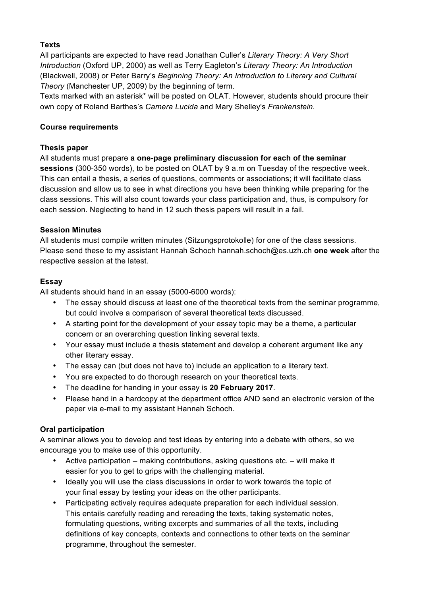# **Texts**

All participants are expected to have read Jonathan Culler's *Literary Theory: A Very Short Introduction* (Oxford UP, 2000) as well as Terry Eagleton's *Literary Theory: An Introduction* (Blackwell, 2008) or Peter Barry's *Beginning Theory: An Introduction to Literary and Cultural Theory* (Manchester UP, 2009) by the beginning of term.

Texts marked with an asterisk\* will be posted on OLAT. However, students should procure their own copy of Roland Barthes's *Camera Lucida* and Mary Shelley's *Frankenstein.*

### **Course requirements**

### **Thesis paper**

All students must prepare **a one-page preliminary discussion for each of the seminar sessions** (300-350 words), to be posted on OLAT by 9 a.m on Tuesday of the respective week. This can entail a thesis, a series of questions, comments or associations; it will facilitate class discussion and allow us to see in what directions you have been thinking while preparing for the class sessions. This will also count towards your class participation and, thus, is compulsory for each session. Neglecting to hand in 12 such thesis papers will result in a fail.

### **Session Minutes**

All students must compile written minutes (Sitzungsprotokolle) for one of the class sessions. Please send these to my assistant Hannah Schoch hannah.schoch@es.uzh.ch **one week** after the respective session at the latest.

### **Essay**

All students should hand in an essay (5000-6000 words):

- The essay should discuss at least one of the theoretical texts from the seminar programme, but could involve a comparison of several theoretical texts discussed.
- A starting point for the development of your essay topic may be a theme, a particular concern or an overarching question linking several texts.
- Your essay must include a thesis statement and develop a coherent argument like any other literary essay.
- The essay can (but does not have to) include an application to a literary text.
- You are expected to do thorough research on your theoretical texts.
- The deadline for handing in your essay is **20 February 2017**.
- Please hand in a hardcopy at the department office AND send an electronic version of the paper via e-mail to my assistant Hannah Schoch.

# **Oral participation**

A seminar allows you to develop and test ideas by entering into a debate with others, so we encourage you to make use of this opportunity.

- Active participation making contributions, asking questions etc. will make it easier for you to get to grips with the challenging material.
- Ideally you will use the class discussions in order to work towards the topic of your final essay by testing your ideas on the other participants.
- Participating actively requires adequate preparation for each individual session. This entails carefully reading and rereading the texts, taking systematic notes, formulating questions, writing excerpts and summaries of all the texts, including definitions of key concepts, contexts and connections to other texts on the seminar programme, throughout the semester.